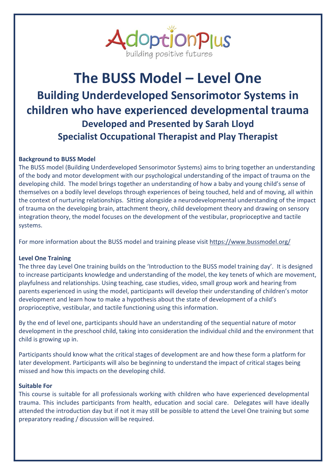

# **The BUSS Model – Level One Building Underdeveloped Sensorimotor Systems in children who have experienced developmental trauma Developed and Presented by Sarah Lloyd Specialist Occupational Therapist and Play Therapist**

## **Background to BUSS Model**

The BUSS model (Building Underdeveloped Sensorimotor Systems) aims to bring together an understanding of the body and motor development with our psychological understanding of the impact of trauma on the developing child. The model brings together an understanding of how a baby and young child's sense of themselves on a bodily level develops through experiences of being touched, held and of moving, all within the context of nurturing relationships. Sitting alongside a neurodevelopmental understanding of the impact of trauma on the developing brain, attachment theory, child development theory and drawing on sensory integration theory, the model focuses on the development of the vestibular, proprioceptive and tactile systems.

For more information about the BUSS model and training please visit<https://www.bussmodel.org/>

### **Level One Training**

The three day Level One training builds on the 'Introduction to the BUSS model training day'. It is designed to increase participants knowledge and understanding of the model, the key tenets of which are movement, playfulness and relationships. Using teaching, case studies, video, small group work and hearing from parents experienced in using the model, participants will develop their understanding of children's motor development and learn how to make a hypothesis about the state of development of a child's proprioceptive, vestibular, and tactile functioning using this information.

By the end of level one, participants should have an understanding of the sequential nature of motor development in the preschool child, taking into consideration the individual child and the environment that child is growing up in.

Participants should know what the critical stages of development are and how these form a platform for later development. Participants will also be beginning to understand the impact of critical stages being missed and how this impacts on the developing child.

#### **Suitable For**

This course is suitable for all professionals working with children who have experienced developmental trauma. This includes participants from health, education and social care. Delegates will have ideally attended the introduction day but if not it may still be possible to attend the Level One training but some preparatory reading / discussion will be required.